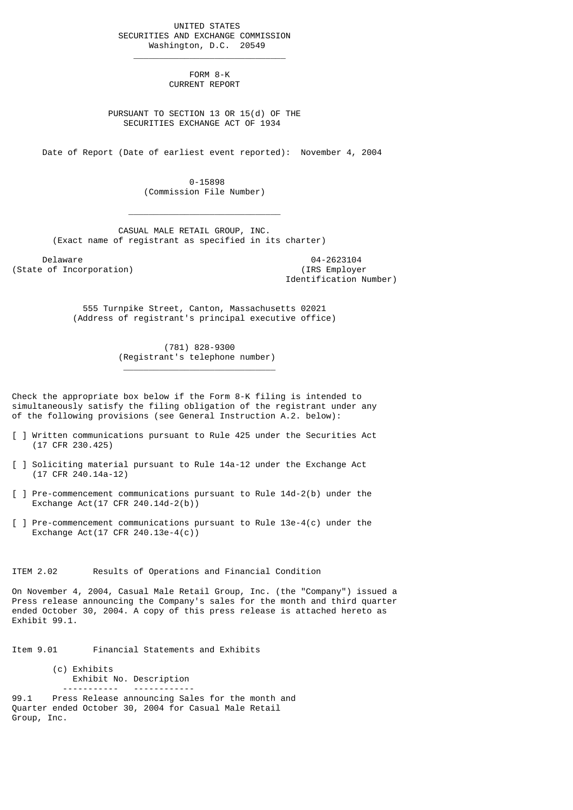UNITED STATES SECURITIES AND EXCHANGE COMMISSION Washington, D.C. 20549

 $\frac{1}{2}$  , and the set of the set of the set of the set of the set of the set of the set of the set of the set of the set of the set of the set of the set of the set of the set of the set of the set of the set of the set

 $\mathcal{L}_\text{max}$  and  $\mathcal{L}_\text{max}$  and  $\mathcal{L}_\text{max}$  and  $\mathcal{L}_\text{max}$  and  $\mathcal{L}_\text{max}$ 

\_\_\_\_\_\_\_\_\_\_\_\_\_\_\_\_\_\_\_\_\_\_\_\_\_\_\_\_\_\_

 FORM 8-K CURRENT REPORT

 PURSUANT TO SECTION 13 OR 15(d) OF THE SECURITIES EXCHANGE ACT OF 1934

Date of Report (Date of earliest event reported): November 4, 2004

 0-15898 (Commission File Number)

 CASUAL MALE RETAIL GROUP, INC. (Exact name of registrant as specified in its charter)

Delaware 04-2623104<br>
Delaware 04-2623104<br>
Of Incorporation (State of Incorporation)

Identification Number)

 555 Turnpike Street, Canton, Massachusetts 02021 (Address of registrant's principal executive office)

> (781) 828-9300 (Registrant's telephone number)

Check the appropriate box below if the Form 8-K filing is intended to simultaneously satisfy the filing obligation of the registrant under any of the following provisions (see General Instruction A.2. below):

- [ ] Written communications pursuant to Rule 425 under the Securities Act (17 CFR 230.425)
- [ ] Soliciting material pursuant to Rule 14a-12 under the Exchange Act (17 CFR 240.14a-12)
- [ ] Pre-commencement communications pursuant to Rule 14d-2(b) under the Exchange Act(17 CFR 240.14d-2(b))
- [ ] Pre-commencement communications pursuant to Rule 13e-4(c) under the Exchange Act(17 CFR 240.13e-4(c))

ITEM 2.02 Results of Operations and Financial Condition

On November 4, 2004, Casual Male Retail Group, Inc. (the "Company") issued a Press release announcing the Company's sales for the month and third quarter ended October 30, 2004. A copy of this press release is attached hereto as Exhibit 99.1.

Item 9.01 Financial Statements and Exhibits

(c) Exhibits Exhibit No. Description

 ----------- ------------ 99.1 Press Release announcing Sales for the month and Quarter ended October 30, 2004 for Casual Male Retail Group, Inc.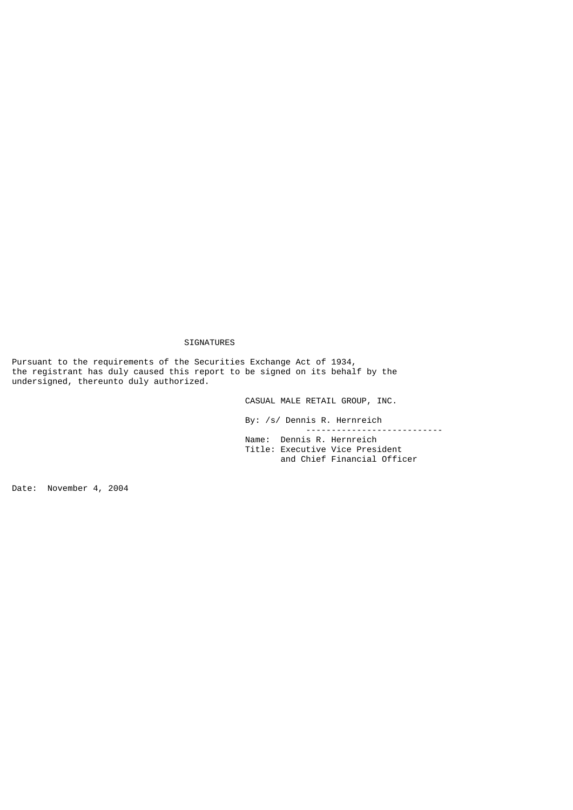## SIGNATURES

Pursuant to the requirements of the Securities Exchange Act of 1934, the registrant has duly caused this report to be signed on its behalf by the undersigned, thereunto duly authorized.

CASUAL MALE RETAIL GROUP, INC.

 By: /s/ Dennis R. Hernreich --------------------------- Name: Dennis R. Hernreich Title: Executive Vice President and Chief Financial Officer

Date: November 4, 2004